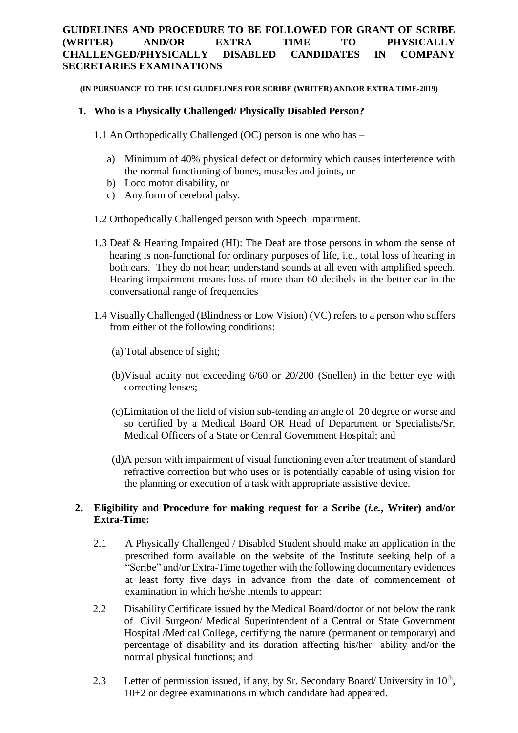## **GUIDELINES AND PROCEDURE TO BE FOLLOWED FOR GRANT OF SCRIBE (WRITER) AND/OR EXTRA TIME TO PHYSICALLY CHALLENGED/PHYSICALLY DISABLED CANDIDATES IN COMPANY SECRETARIES EXAMINATIONS**

#### **(IN PURSUANCE TO THE ICSI GUIDELINES FOR SCRIBE (WRITER) AND/OR EXTRA TIME-2019)**

## **1. Who is a Physically Challenged/ Physically Disabled Person?**

- 1.1 An Orthopedically Challenged (OC) person is one who has
	- a) Minimum of 40% physical defect or deformity which causes interference with the normal functioning of bones, muscles and joints, or
	- b) Loco motor disability, or
	- c) Any form of cerebral palsy.
- 1.2 Orthopedically Challenged person with Speech Impairment.
- 1.3 Deaf & Hearing Impaired (HI): The Deaf are those persons in whom the sense of hearing is non-functional for ordinary purposes of life, i.e., total loss of hearing in both ears. They do not hear; understand sounds at all even with amplified speech. Hearing impairment means loss of more than 60 decibels in the better ear in the conversational range of frequencies
- 1.4 Visually Challenged (Blindness or Low Vision) (VC) refers to a person who suffers from either of the following conditions:
	- (a) Total absence of sight;
	- (b)Visual acuity not exceeding 6/60 or 20/200 (Snellen) in the better eye with correcting lenses;
	- (c)Limitation of the field of vision sub-tending an angle of 20 degree or worse and so certified by a Medical Board OR Head of Department or Specialists/Sr. Medical Officers of a State or Central Government Hospital; and
	- (d)A person with impairment of visual functioning even after treatment of standard refractive correction but who uses or is potentially capable of using vision for the planning or execution of a task with appropriate assistive device.

# **2. Eligibility and Procedure for making request for a Scribe (***i.e.***, Writer) and/or Extra-Time:**

- 2.1 A Physically Challenged / Disabled Student should make an application in the prescribed form available on the website of the Institute seeking help of a "Scribe" and/or Extra-Time together with the following documentary evidences at least forty five days in advance from the date of commencement of examination in which he/she intends to appear:
- 2.2 Disability Certificate issued by the Medical Board/doctor of not below the rank of Civil Surgeon/ Medical Superintendent of a Central or State Government Hospital /Medical College, certifying the nature (permanent or temporary) and percentage of disability and its duration affecting his/her ability and/or the normal physical functions; and
- 2.3 Letter of permission issued, if any, by Sr. Secondary Board/ University in 10<sup>th</sup>, 10+2 or degree examinations in which candidate had appeared.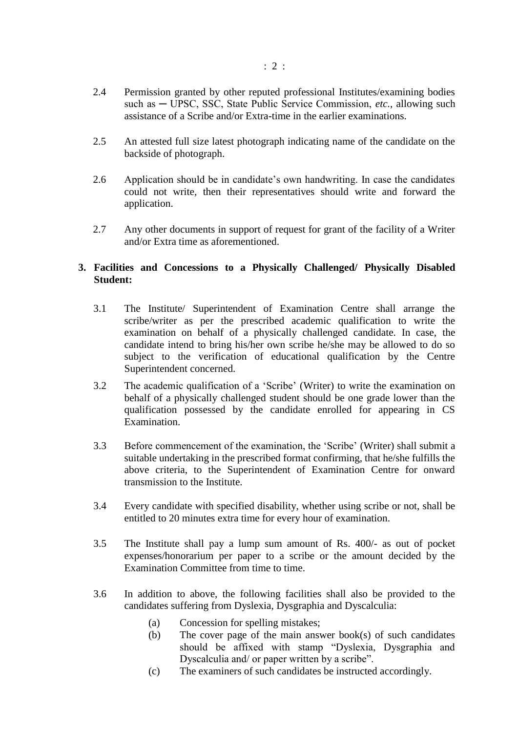- 2.4 Permission granted by other reputed professional Institutes/examining bodies such as - UPSC, SSC, State Public Service Commission, etc., allowing such assistance of a Scribe and/or Extra-time in the earlier examinations.
- 2.5 An attested full size latest photograph indicating name of the candidate on the backside of photograph.
- 2.6 Application should be in candidate's own handwriting. In case the candidates could not write, then their representatives should write and forward the application.
- 2.7 Any other documents in support of request for grant of the facility of a Writer and/or Extra time as aforementioned.

# **3. Facilities and Concessions to a Physically Challenged/ Physically Disabled Student:**

- 3.1 The Institute/ Superintendent of Examination Centre shall arrange the scribe/writer as per the prescribed academic qualification to write the examination on behalf of a physically challenged candidate. In case, the candidate intend to bring his/her own scribe he/she may be allowed to do so subject to the verification of educational qualification by the Centre Superintendent concerned.
- 3.2 The academic qualification of a 'Scribe' (Writer) to write the examination on behalf of a physically challenged student should be one grade lower than the qualification possessed by the candidate enrolled for appearing in CS Examination.
- 3.3 Before commencement of the examination, the 'Scribe' (Writer) shall submit a suitable undertaking in the prescribed format confirming, that he/she fulfills the above criteria, to the Superintendent of Examination Centre for onward transmission to the Institute.
- 3.4 Every candidate with specified disability, whether using scribe or not, shall be entitled to 20 minutes extra time for every hour of examination.
- 3.5 The Institute shall pay a lump sum amount of Rs. 400/- as out of pocket expenses/honorarium per paper to a scribe or the amount decided by the Examination Committee from time to time.
- 3.6 In addition to above, the following facilities shall also be provided to the candidates suffering from Dyslexia, Dysgraphia and Dyscalculia:
	- (a) Concession for spelling mistakes;
	- (b) The cover page of the main answer book(s) of such candidates should be affixed with stamp "Dyslexia, Dysgraphia and Dyscalculia and/ or paper written by a scribe".
	- (c) The examiners of such candidates be instructed accordingly.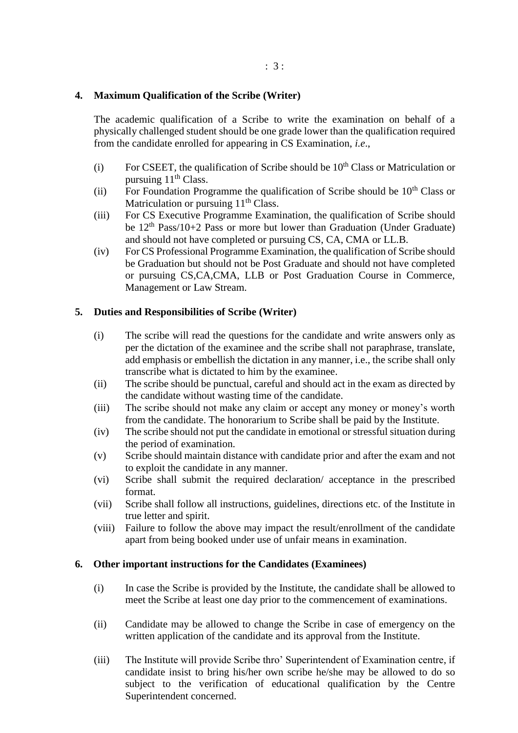### **4. Maximum Qualification of the Scribe (Writer)**

The academic qualification of a Scribe to write the examination on behalf of a physically challenged student should be one grade lower than the qualification required from the candidate enrolled for appearing in CS Examination, *i.e*.,

- (i) For CSEET, the qualification of Scribe should be  $10<sup>th</sup>$  Class or Matriculation or pursuing  $11<sup>th</sup> Class.$
- (ii) For Foundation Programme the qualification of Scribe should be  $10<sup>th</sup>$  Class or Matriculation or pursuing  $11<sup>th</sup> Class.$
- (iii) For CS Executive Programme Examination, the qualification of Scribe should be  $12<sup>th</sup> Pass/10+2 Pass or more but lower than Gradient (Under Graduate)$ and should not have completed or pursuing CS, CA, CMA or LL.B.
- (iv) For CS Professional Programme Examination, the qualification of Scribe should be Graduation but should not be Post Graduate and should not have completed or pursuing CS,CA,CMA, LLB or Post Graduation Course in Commerce, Management or Law Stream.

### **5. Duties and Responsibilities of Scribe (Writer)**

- (i) The scribe will read the questions for the candidate and write answers only as per the dictation of the examinee and the scribe shall not paraphrase, translate, add emphasis or embellish the dictation in any manner, i.e., the scribe shall only transcribe what is dictated to him by the examinee.
- (ii) The scribe should be punctual, careful and should act in the exam as directed by the candidate without wasting time of the candidate.
- (iii) The scribe should not make any claim or accept any money or money's worth from the candidate. The honorarium to Scribe shall be paid by the Institute.
- (iv) The scribe should not put the candidate in emotional or stressful situation during the period of examination.
- (v) Scribe should maintain distance with candidate prior and after the exam and not to exploit the candidate in any manner.
- (vi) Scribe shall submit the required declaration/ acceptance in the prescribed format.
- (vii) Scribe shall follow all instructions, guidelines, directions etc. of the Institute in true letter and spirit.
- (viii) Failure to follow the above may impact the result/enrollment of the candidate apart from being booked under use of unfair means in examination.

### **6. Other important instructions for the Candidates (Examinees)**

- (i) In case the Scribe is provided by the Institute, the candidate shall be allowed to meet the Scribe at least one day prior to the commencement of examinations.
- (ii) Candidate may be allowed to change the Scribe in case of emergency on the written application of the candidate and its approval from the Institute.
- (iii) The Institute will provide Scribe thro' Superintendent of Examination centre, if candidate insist to bring his/her own scribe he/she may be allowed to do so subject to the verification of educational qualification by the Centre Superintendent concerned.